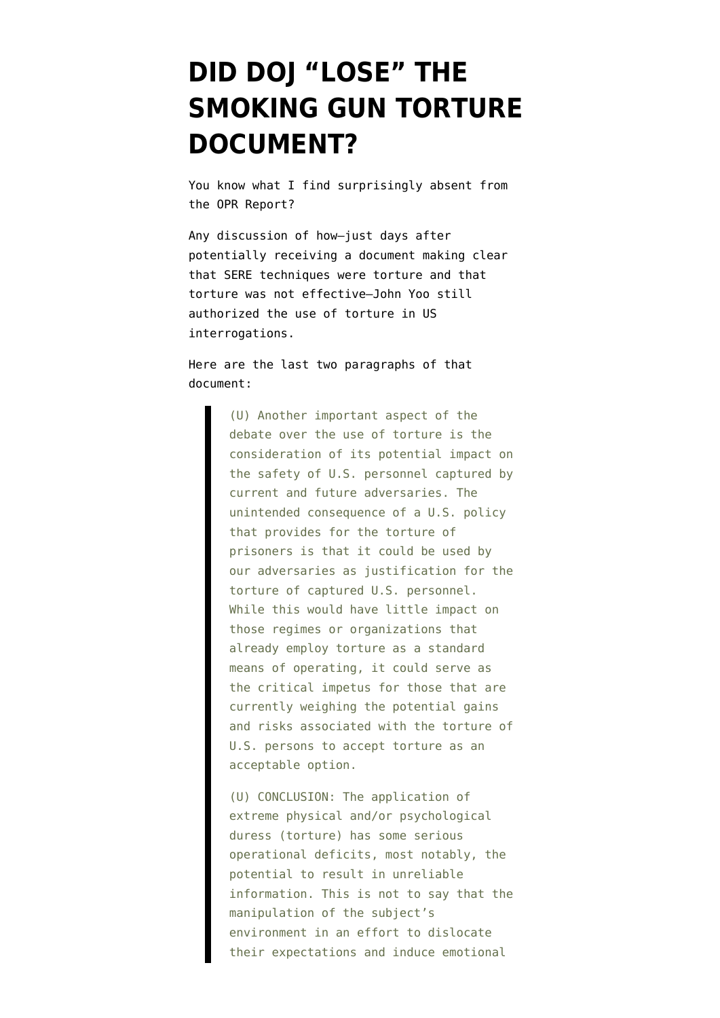# **[DID DOJ "LOSE" THE](https://www.emptywheel.net/2010/03/01/did-doj-lose-the-smoking-gun-torture-document/) [SMOKING GUN TORTURE](https://www.emptywheel.net/2010/03/01/did-doj-lose-the-smoking-gun-torture-document/) [DOCUMENT?](https://www.emptywheel.net/2010/03/01/did-doj-lose-the-smoking-gun-torture-document/)**

You know what I find surprisingly absent from the OPR Report?

Any discussion of how–just days after potentially receiving a document making clear that SERE techniques were torture and that torture was not effective–John Yoo still authorized the use of torture in US interrogations.

Here are [the last two paragraphs of that](http://static1.firedoglake.com/28/files/2010/03/020725-JPRA-Memo.pdf) [document:](http://static1.firedoglake.com/28/files/2010/03/020725-JPRA-Memo.pdf)

> (U) Another important aspect of the debate over the use of torture is the consideration of its potential impact on the safety of U.S. personnel captured by current and future adversaries. The unintended consequence of a U.S. policy that provides for the torture of prisoners is that it could be used by our adversaries as justification for the torture of captured U.S. personnel. While this would have little impact on those regimes or organizations that already employ torture as a standard means of operating, it could serve as the critical impetus for those that are currently weighing the potential gains and risks associated with the torture of U.S. persons to accept torture as an acceptable option.

> (U) CONCLUSION: The application of extreme physical and/or psychological duress (torture) has some serious operational deficits, most notably, the potential to result in unreliable information. This is not to say that the manipulation of the subject's environment in an effort to dislocate their expectations and induce emotional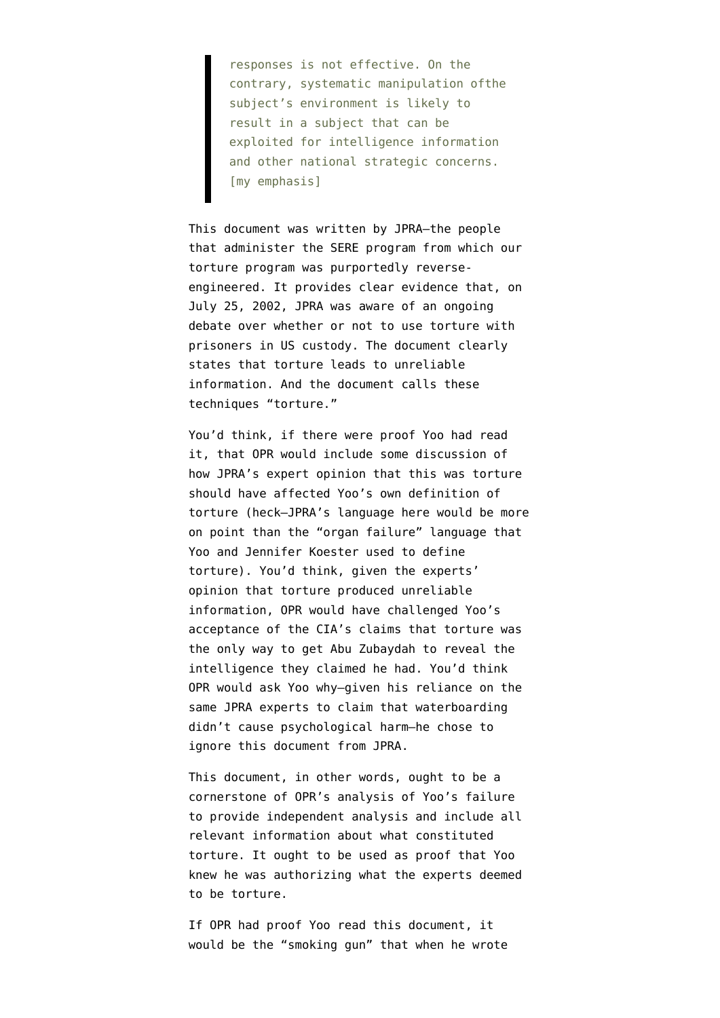responses is not effective. On the contrary, systematic manipulation ofthe subject's environment is likely to result in a subject that can be exploited for intelligence information and other national strategic concerns. [my emphasis]

This document was written by JPRA–the people that administer the SERE program from which our torture program was purportedly reverseengineered. It provides clear evidence that, on July 25, 2002, JPRA was aware of an ongoing debate over whether or not to use torture with prisoners in US custody. The document clearly states that torture leads to unreliable information. And the document calls these techniques "torture."

You'd think, if there were proof Yoo had read it, that OPR would include some discussion of how JPRA's expert opinion that this was torture should have affected Yoo's own definition of torture (heck–JPRA's language here would be more on point than the "organ failure" language that Yoo and Jennifer Koester used to define torture). You'd think, given the experts' opinion that torture produced unreliable information, OPR would have challenged Yoo's acceptance of the CIA's claims that torture was the only way to get Abu Zubaydah to reveal the intelligence they claimed he had. You'd think OPR would ask Yoo why–given his reliance on the same JPRA experts to claim that waterboarding didn't cause psychological harm–he chose to ignore this document from JPRA.

This document, in other words, ought to be a cornerstone of OPR's analysis of Yoo's failure to provide independent analysis and include all relevant information about what constituted torture. It ought to be used as proof that Yoo knew he was authorizing what the experts deemed to be torture.

If OPR had proof Yoo read this document, it would be the "smoking gun" that when he wrote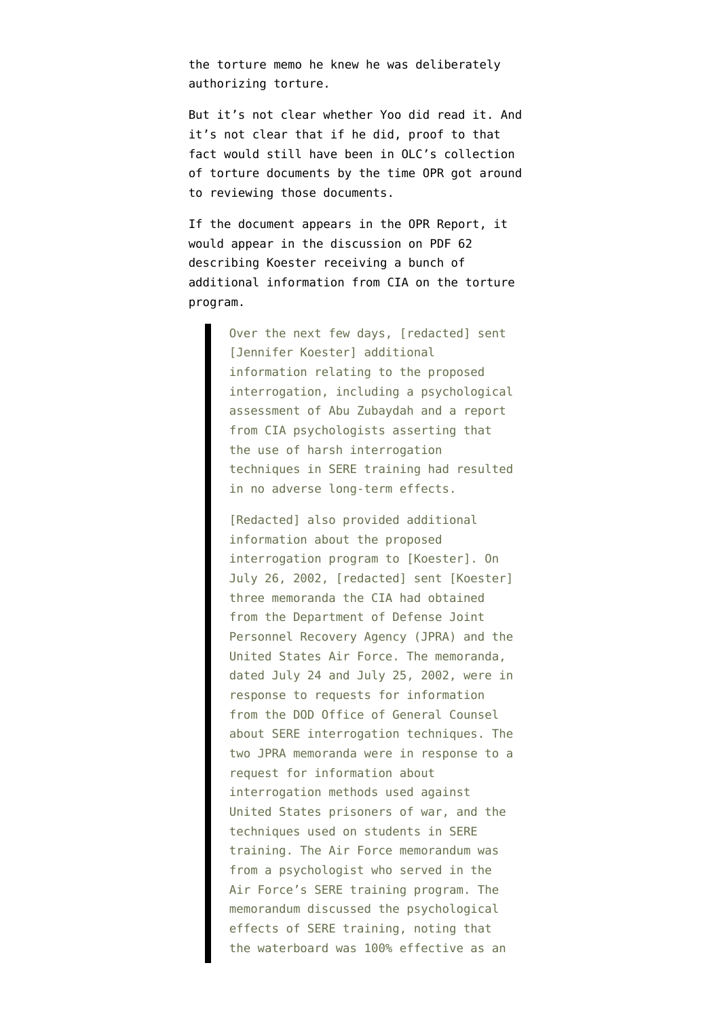the torture memo he knew he was deliberately authorizing torture.

But it's not clear whether Yoo did read it. And it's not clear that if he did, proof to that fact would still have been in OLC's collection of torture documents by the time OPR got around to reviewing those documents.

If the document appears in the OPR Report, it would appear in the discussion [on PDF 62](http://judiciary.house.gov/hearings/pdf/OPRFinalReport090729.pdf) describing Koester receiving a bunch of additional information from CIA on the torture program.

> Over the next few days, [redacted] sent [Jennifer Koester] additional information relating to the proposed interrogation, including a psychological assessment of Abu Zubaydah and a report from CIA psychologists asserting that the use of harsh interrogation techniques in SERE training had resulted in no adverse long-term effects.

> [Redacted] also provided additional information about the proposed interrogation program to [Koester]. On July 26, 2002, [redacted] sent [Koester] three memoranda the CIA had obtained from the Department of Defense Joint Personnel Recovery Agency (JPRA) and the United States Air Force. The memoranda, dated July 24 and July 25, 2002, were in response to requests for information from the DOD Office of General Counsel about SERE interrogation techniques. The two JPRA memoranda were in response to a request for information about interrogation methods used against United States prisoners of war, and the techniques used on students in SERE training. The Air Force memorandum was from a psychologist who served in the Air Force's SERE training program. The memorandum discussed the psychological effects of SERE training, noting that the waterboard was 100% effective as an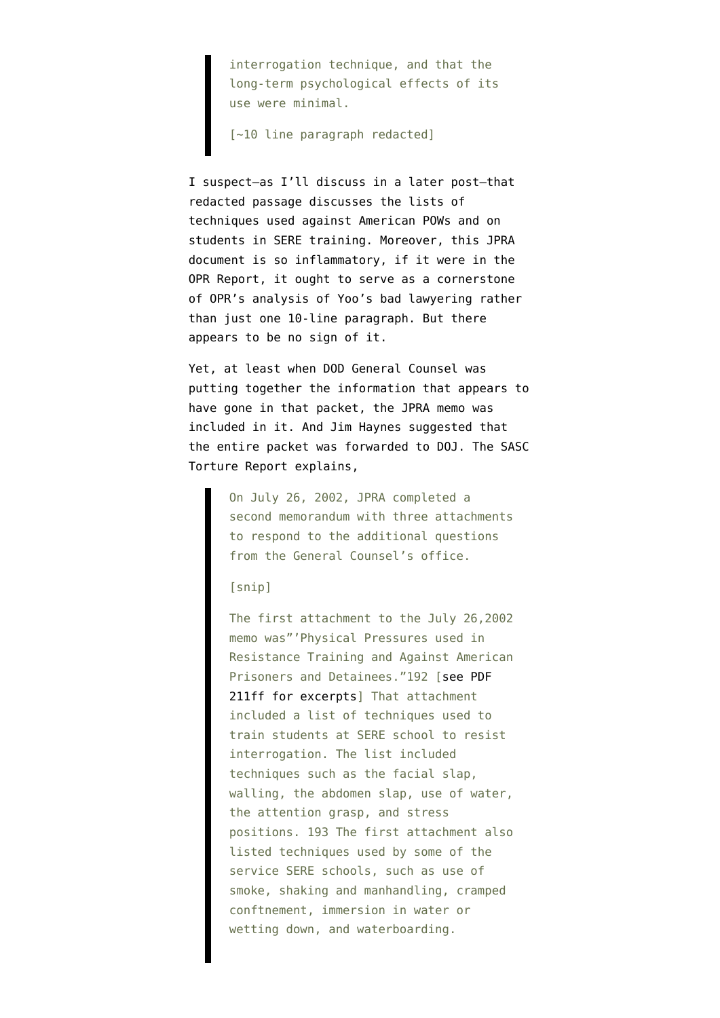interrogation technique, and that the long-term psychological effects of its use were minimal.

[~10 line paragraph redacted]

I suspect–as I'll discuss in a later post–that redacted passage discusses the lists of techniques used against American POWs and on students in SERE training. Moreover, this JPRA document is so inflammatory, if it were in the OPR Report, it ought to serve as a cornerstone of OPR's analysis of Yoo's bad lawyering rather than just one 10-line paragraph. But there appears to be no sign of it.

Yet, at least when DOD General Counsel was putting together the information that appears to have gone in that packet, the JPRA memo was included in it. And Jim Haynes suggested that the entire packet was forwarded to DOJ. The [SASC](http://armed-services.senate.gov/Publications/Detainee%20Report%20Final_April%2022%202009.pdf) [Torture Report explains,](http://armed-services.senate.gov/Publications/Detainee%20Report%20Final_April%2022%202009.pdf)

> On July 26, 2002, JPRA completed a second memorandum with three attachments to respond to the additional questions from the General Counsel's office.

## [snip]

The first attachment to the July 26,2002 memo was"'Physical Pressures used in Resistance Training and Against American Prisoners and Detainees."192 [[see PDF](http://www.fas.org/irp/congress/2008_hr/treatment.pdf) [211ff for excerpts](http://www.fas.org/irp/congress/2008_hr/treatment.pdf)] That attachment included a list of techniques used to train students at SERE school to resist interrogation. The list included techniques such as the facial slap, walling, the abdomen slap, use of water, the attention grasp, and stress positions. 193 The first attachment also listed techniques used by some of the service SERE schools, such as use of smoke, shaking and manhandling, cramped conftnement, immersion in water or wetting down, and waterboarding.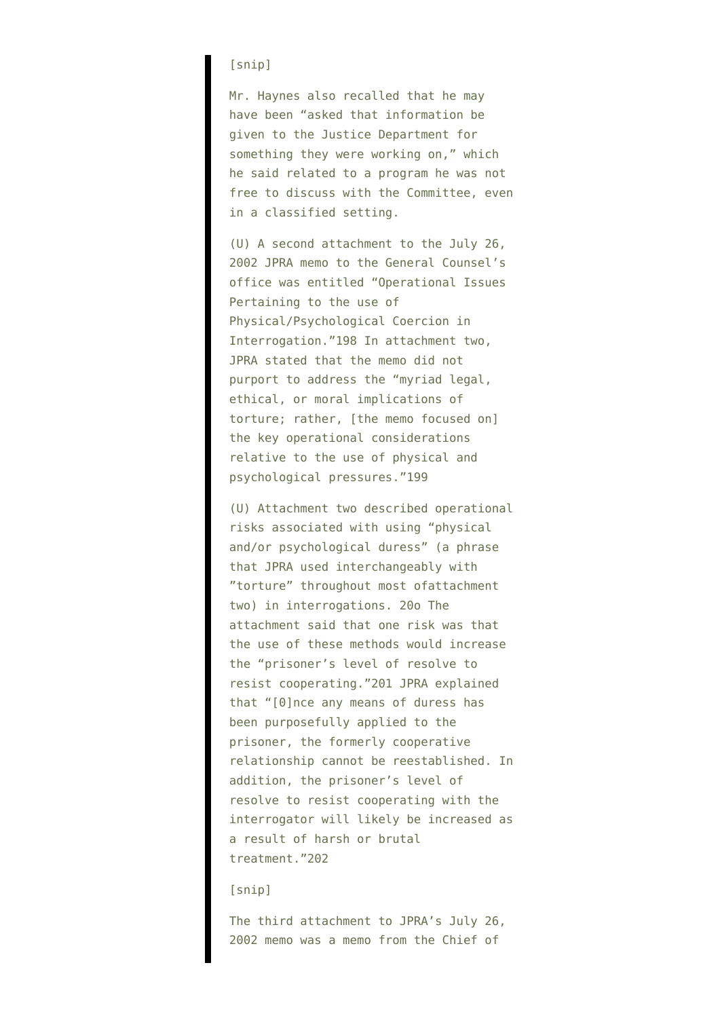# [snip]

Mr. Haynes also recalled that he may have been "asked that information be given to the Justice Department for something they were working on," which he said related to a program he was not free to discuss with the Committee, even in a classified setting.

(U) A second attachment to the July 26, 2002 JPRA memo to the General Counsel's office was entitled "Operational Issues Pertaining to the use of Physical/Psychological Coercion in Interrogation."198 In attachment two, JPRA stated that the memo did not purport to address the "myriad legal, ethical, or moral implications of torture; rather, [the memo focused on] the key operational considerations relative to the use of physical and psychological pressures."199

(U) Attachment two described operational risks associated with using "physical and/or psychological duress" (a phrase that JPRA used interchangeably with "torture" throughout most ofattachment two) in interrogations. 20o The attachment said that one risk was that the use of these methods would increase the "prisoner's level of resolve to resist cooperating."201 JPRA explained that "[0]nce any means of duress has been purposefully applied to the prisoner, the formerly cooperative relationship cannot be reestablished. In addition, the prisoner's level of resolve to resist cooperating with the interrogator will likely be increased as a result of harsh or brutal treatment."202

# [snip]

The third attachment to JPRA's July 26, 2002 memo was a memo from the Chief of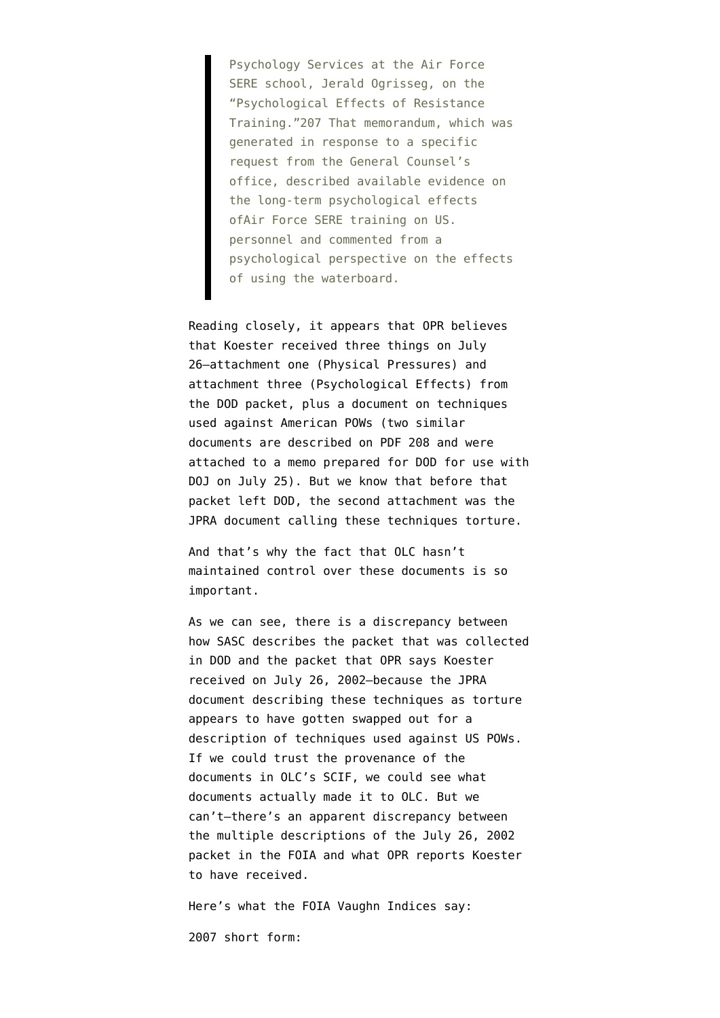Psychology Services at the Air Force SERE school, Jerald Ogrisseg, on the "Psychological Effects of Resistance Training."207 That memorandum, which was generated in response to a specific request from the General Counsel's office, described available evidence on the long-term psychological effects ofAir Force SERE training on US. personnel and commented from a psychological perspective on the effects of using the waterboard.

Reading closely, it appears that OPR believes that Koester received three things on July 26–attachment one (Physical Pressures) and attachment three (Psychological Effects) from the DOD packet, plus a document on techniques used against American POWs (two similar documents are described on [PDF 208](http://www.fas.org/irp/congress/2008_hr/treatment.pdf) and were attached to a memo prepared for DOD for use with DOJ on July 25). But we know that before that packet left DOD, the second attachment was the JPRA document calling these techniques torture.

And that's why the fact that OLC hasn't [maintained control over these documents](http://emptywheel.firedoglake.com/2010/03/01/its-not-just-the-emails-doj-lost-its-the-backup-documentation/) is so important.

As we can see, there is a discrepancy between how SASC describes the packet that was collected in DOD and the packet that OPR says Koester received on July 26, 2002–because the JPRA document describing these techniques as torture appears to have gotten swapped out for a description of techniques used against US POWs. If we could trust the provenance of the documents in OLC's SCIF, we could see what documents actually made it to OLC. But we can't–there's an apparent discrepancy between the multiple descriptions of the July 26, 2002 packet in the FOIA and what OPR reports Koester to have received.

Here's what the FOIA Vaughn Indices say:

[2007 short form:](http://static1.firedoglake.com/28/files//2009/09/20070302-aclu-3rd-mpsj-olc-vaughn-181-docs.pdf)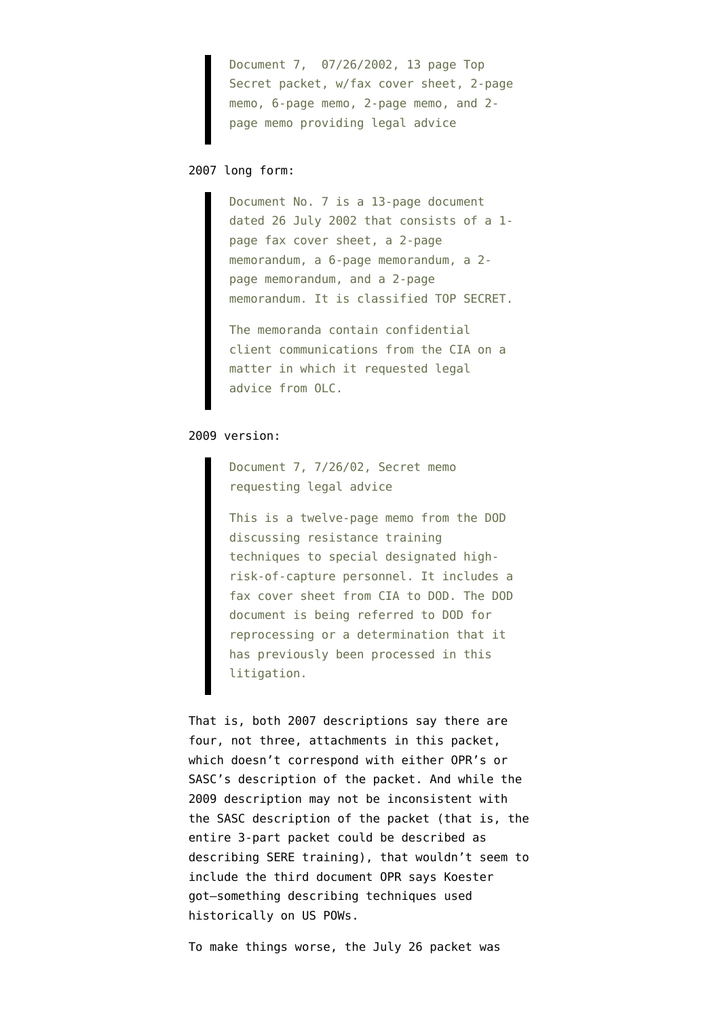Document 7, 07/26/2002, 13 page Top Secret packet, w/fax cover sheet, 2-page memo, 6-page memo, 2-page memo, and 2 page memo providing legal advice

# [2007 long form](http://static1.firedoglake.com/28/files/2010/03/070607-Dorn-Vaughn-Description.pdf):

Document No. 7 is a 13-page document dated 26 July 2002 that consists of a 1 page fax cover sheet, a 2-page memorandum, a 6-page memorandum, a 2 page memorandum, and a 2-page memorandum. It is classified TOP SECRET.

The memoranda contain confidential client communications from the CIA on a matter in which it requested legal advice from OLC.

## [2009 version](http://www.aclu.org/national-security/vaughn-index-olc-documents-withheld-foia-lawsuit-0):

Document 7, 7/26/02, Secret memo requesting legal advice

This is a twelve-page memo from the DOD discussing resistance training techniques to special designated highrisk-of-capture personnel. It includes a fax cover sheet from CIA to DOD. The DOD document is being referred to DOD for reprocessing or a determination that it has previously been processed in this litigation.

That is, both 2007 descriptions say there are four, not three, attachments in this packet, which doesn't correspond with either OPR's or SASC's description of the packet. And while the 2009 description may not be inconsistent with the SASC description of the packet (that is, the entire 3-part packet could be described as describing SERE training), that wouldn't seem to include the third document OPR says Koester got–something describing techniques used historically on US POWs.

To make things worse, the July 26 packet was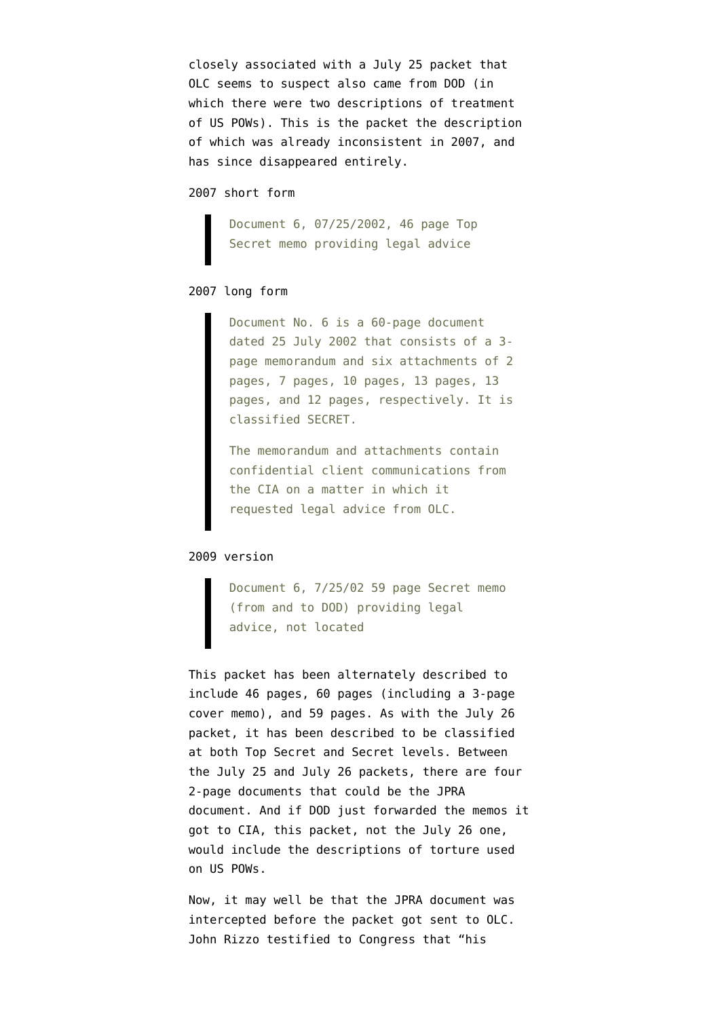closely associated with a July 25 packet that OLC seems to suspect also came from DOD (in which there were two descriptions of treatment of US POWs). This is the packet the description of which was already inconsistent in 2007, and has since disappeared entirely.

#### [2007 short form](http://static1.firedoglake.com/28/files//2009/09/20070302-aclu-3rd-mpsj-olc-vaughn-181-docs.pdf)

Document 6, 07/25/2002, 46 page Top Secret memo providing legal advice

# [2007 long form](http://static1.firedoglake.com/28/files/2010/03/070607-Dorn-Vaughn-Description.pdf)

Document No. 6 is a 60-page document dated 25 July 2002 that consists of a 3 page memorandum and six attachments of 2 pages, 7 pages, 10 pages, 13 pages, 13 pages, and 12 pages, respectively. It is classified SECRET.

The memorandum and attachments contain confidential client communications from the CIA on a matter in which it requested legal advice from OLC.

## [2009 version](http://www.aclu.org/national-security/vaughn-index-olc-documents-withheld-foia-lawsuit-0)

Document 6, 7/25/02 59 page Secret memo (from and to DOD) providing legal advice, not located

This packet has been alternately described to include 46 pages, 60 pages (including a 3-page cover memo), and 59 pages. As with the July 26 packet, it has been described to be classified at both Top Secret and Secret levels. Between the July 25 and July 26 packets, there are four 2-page documents that could be the JPRA document. And if DOD just forwarded the memos it got to CIA, this packet, not the July 26 one, would include the descriptions of torture used on US POWs.

Now, it may well be that the JPRA document was intercepted before the packet got sent to OLC. John Rizzo testified to Congress that "his